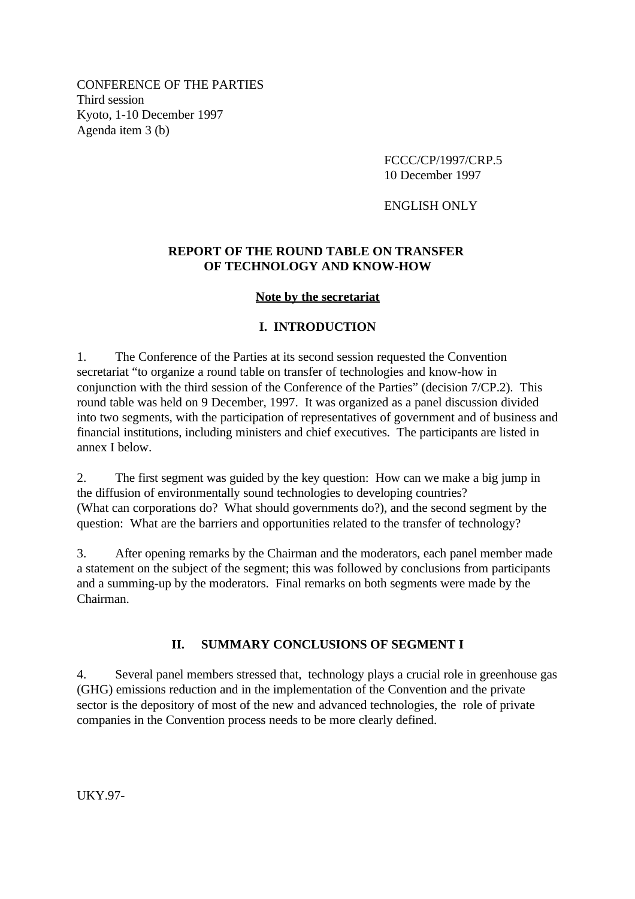CONFERENCE OF THE PARTIES Third session Kyoto, 1-10 December 1997 Agenda item 3 (b)

> FCCC/CP/1997/CRP.5 10 December 1997

ENGLISH ONLY

### **REPORT OF THE ROUND TABLE ON TRANSFER OF TECHNOLOGY AND KNOW-HOW**

#### **Note by the secretariat**

#### **I. INTRODUCTION**

1. The Conference of the Parties at its second session requested the Convention secretariat "to organize a round table on transfer of technologies and know-how in conjunction with the third session of the Conference of the Parties" (decision 7/CP.2). This round table was held on 9 December, 1997. It was organized as a panel discussion divided into two segments, with the participation of representatives of government and of business and financial institutions, including ministers and chief executives. The participants are listed in annex I below.

2. The first segment was guided by the key question: How can we make a big jump in the diffusion of environmentally sound technologies to developing countries? (What can corporations do? What should governments do?), and the second segment by the question: What are the barriers and opportunities related to the transfer of technology?

3. After opening remarks by the Chairman and the moderators, each panel member made a statement on the subject of the segment; this was followed by conclusions from participants and a summing-up by the moderators. Final remarks on both segments were made by the Chairman.

#### **II. SUMMARY CONCLUSIONS OF SEGMENT I**

4. Several panel members stressed that, technology plays a crucial role in greenhouse gas (GHG) emissions reduction and in the implementation of the Convention and the private sector is the depository of most of the new and advanced technologies, the role of private companies in the Convention process needs to be more clearly defined.

UKY.97-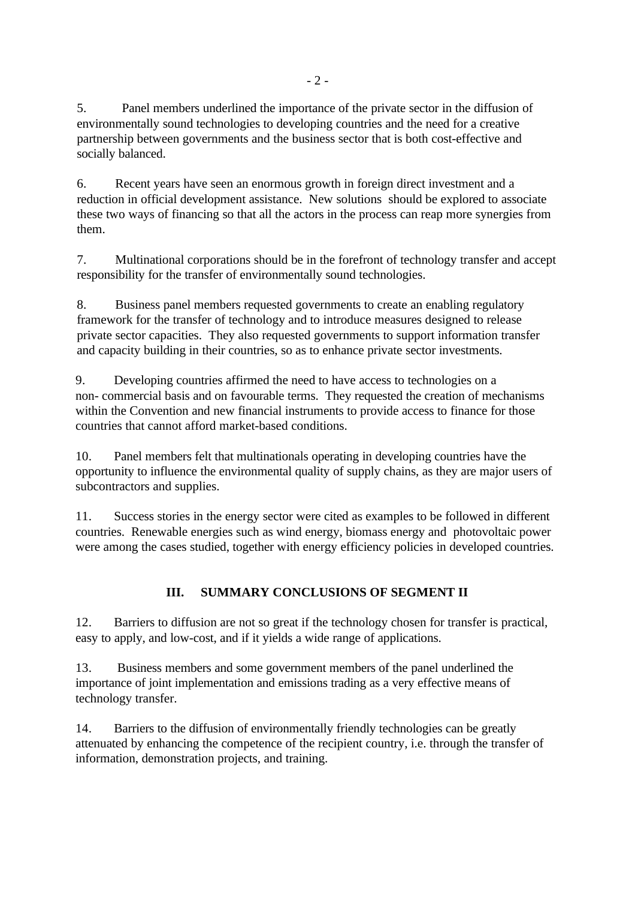5. Panel members underlined the importance of the private sector in the diffusion of environmentally sound technologies to developing countries and the need for a creative partnership between governments and the business sector that is both cost-effective and socially balanced.

6. Recent years have seen an enormous growth in foreign direct investment and a reduction in official development assistance. New solutions should be explored to associate these two ways of financing so that all the actors in the process can reap more synergies from them.

7. Multinational corporations should be in the forefront of technology transfer and accept responsibility for the transfer of environmentally sound technologies.

8. Business panel members requested governments to create an enabling regulatory framework for the transfer of technology and to introduce measures designed to release private sector capacities. They also requested governments to support information transfer and capacity building in their countries, so as to enhance private sector investments.

9. Developing countries affirmed the need to have access to technologies on a non- commercial basis and on favourable terms. They requested the creation of mechanisms within the Convention and new financial instruments to provide access to finance for those countries that cannot afford market-based conditions.

10. Panel members felt that multinationals operating in developing countries have the opportunity to influence the environmental quality of supply chains, as they are major users of subcontractors and supplies.

11. Success stories in the energy sector were cited as examples to be followed in different countries. Renewable energies such as wind energy, biomass energy and photovoltaic power were among the cases studied, together with energy efficiency policies in developed countries.

# **III. SUMMARY CONCLUSIONS OF SEGMENT II**

12. Barriers to diffusion are not so great if the technology chosen for transfer is practical, easy to apply, and low-cost, and if it yields a wide range of applications.

13. Business members and some government members of the panel underlined the importance of joint implementation and emissions trading as a very effective means of technology transfer.

14. Barriers to the diffusion of environmentally friendly technologies can be greatly attenuated by enhancing the competence of the recipient country, i.e. through the transfer of information, demonstration projects, and training.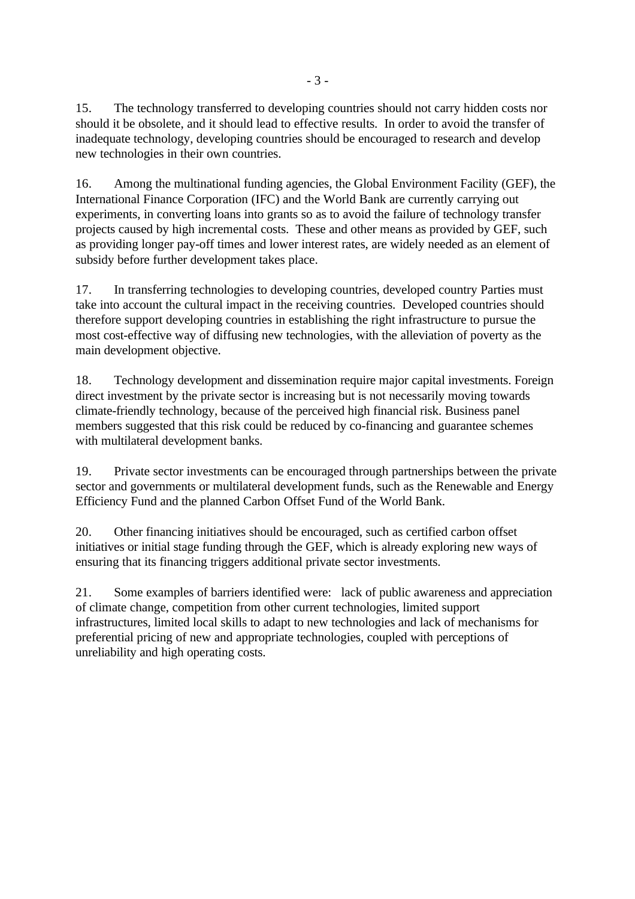15. The technology transferred to developing countries should not carry hidden costs nor should it be obsolete, and it should lead to effective results. In order to avoid the transfer of inadequate technology, developing countries should be encouraged to research and develop new technologies in their own countries.

16. Among the multinational funding agencies, the Global Environment Facility (GEF), the International Finance Corporation (IFC) and the World Bank are currently carrying out experiments, in converting loans into grants so as to avoid the failure of technology transfer projects caused by high incremental costs. These and other means as provided by GEF, such as providing longer pay-off times and lower interest rates, are widely needed as an element of subsidy before further development takes place.

17. In transferring technologies to developing countries, developed country Parties must take into account the cultural impact in the receiving countries. Developed countries should therefore support developing countries in establishing the right infrastructure to pursue the most cost-effective way of diffusing new technologies, with the alleviation of poverty as the main development objective.

18. Technology development and dissemination require major capital investments. Foreign direct investment by the private sector is increasing but is not necessarily moving towards climate-friendly technology, because of the perceived high financial risk. Business panel members suggested that this risk could be reduced by co-financing and guarantee schemes with multilateral development banks.

19. Private sector investments can be encouraged through partnerships between the private sector and governments or multilateral development funds, such as the Renewable and Energy Efficiency Fund and the planned Carbon Offset Fund of the World Bank.

20. Other financing initiatives should be encouraged, such as certified carbon offset initiatives or initial stage funding through the GEF, which is already exploring new ways of ensuring that its financing triggers additional private sector investments.

21. Some examples of barriers identified were: lack of public awareness and appreciation of climate change, competition from other current technologies, limited support infrastructures, limited local skills to adapt to new technologies and lack of mechanisms for preferential pricing of new and appropriate technologies, coupled with perceptions of unreliability and high operating costs.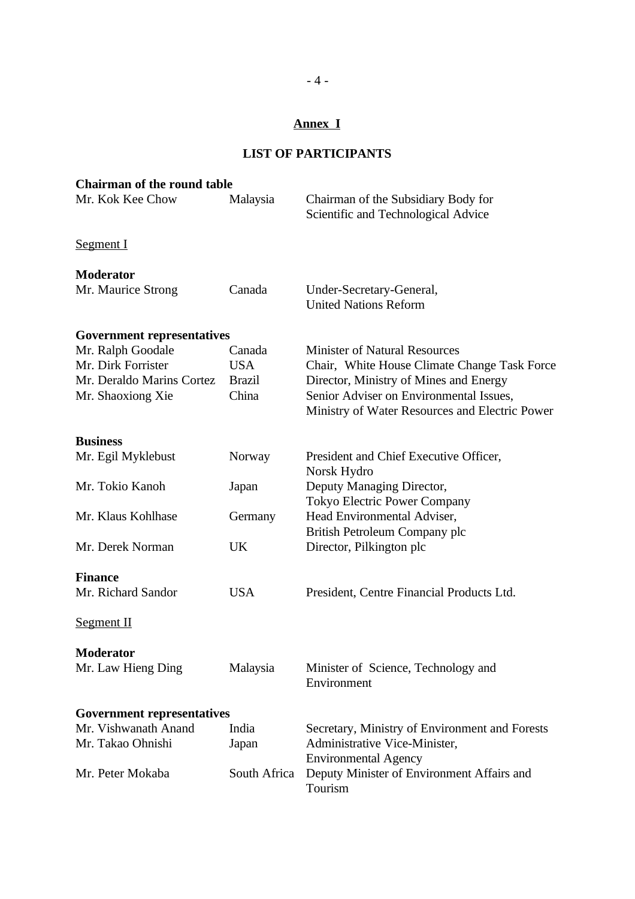## **Annex I**

#### **LIST OF PARTICIPANTS**

| <b>Chairman of the round table</b> |               |                                                                                           |  |  |
|------------------------------------|---------------|-------------------------------------------------------------------------------------------|--|--|
| Mr. Kok Kee Chow                   | Malaysia      | Chairman of the Subsidiary Body for<br>Scientific and Technological Advice                |  |  |
| <b>Segment I</b>                   |               |                                                                                           |  |  |
| <b>Moderator</b>                   |               |                                                                                           |  |  |
| Mr. Maurice Strong                 | Canada        | Under-Secretary-General,<br><b>United Nations Reform</b>                                  |  |  |
| <b>Government representatives</b>  |               |                                                                                           |  |  |
| Mr. Ralph Goodale                  | Canada        | <b>Minister of Natural Resources</b>                                                      |  |  |
| Mr. Dirk Forrister                 | <b>USA</b>    | Chair, White House Climate Change Task Force                                              |  |  |
| Mr. Deraldo Marins Cortez          | <b>Brazil</b> | Director, Ministry of Mines and Energy                                                    |  |  |
| Mr. Shaoxiong Xie                  | China         | Senior Adviser on Environmental Issues,<br>Ministry of Water Resources and Electric Power |  |  |
| <b>Business</b>                    |               |                                                                                           |  |  |
| Mr. Egil Myklebust                 | Norway        | President and Chief Executive Officer,<br>Norsk Hydro                                     |  |  |
| Mr. Tokio Kanoh                    | Japan         | Deputy Managing Director,<br><b>Tokyo Electric Power Company</b>                          |  |  |
| Mr. Klaus Kohlhase                 | Germany       | Head Environmental Adviser,<br>British Petroleum Company plc                              |  |  |
| Mr. Derek Norman                   | <b>UK</b>     | Director, Pilkington plc                                                                  |  |  |
| <b>Finance</b>                     |               |                                                                                           |  |  |
| Mr. Richard Sandor                 | <b>USA</b>    | President, Centre Financial Products Ltd.                                                 |  |  |
| <b>Segment II</b>                  |               |                                                                                           |  |  |
| <b>Moderator</b>                   |               |                                                                                           |  |  |
| Mr. Law Hieng Ding                 | Malaysia      | Minister of Science, Technology and<br>Environment                                        |  |  |
| <b>Government representatives</b>  |               |                                                                                           |  |  |
| Mr. Vishwanath Anand               | India         | Secretary, Ministry of Environment and Forests                                            |  |  |
| Mr. Takao Ohnishi                  | Japan         | Administrative Vice-Minister,<br><b>Environmental Agency</b>                              |  |  |
| Mr. Peter Mokaba                   | South Africa  | Deputy Minister of Environment Affairs and<br>Tourism                                     |  |  |